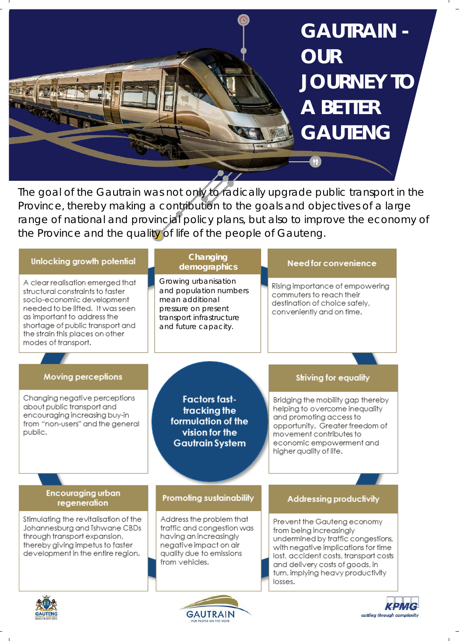

The goal of the Gautrain was not only to radically upgrade public transport in the Province, thereby making a contribution to the goals and objectives of a large range of national and provincial policy plans, but also to improve the economy of the Province and the quality of life of the people of Gauteng.

| Unlocking growth potential                                                                                                                                                                                                                                          | Changing<br>demographics                                                                                                                                 | Need for convenience                                                                                                                                                                                                                                            |
|---------------------------------------------------------------------------------------------------------------------------------------------------------------------------------------------------------------------------------------------------------------------|----------------------------------------------------------------------------------------------------------------------------------------------------------|-----------------------------------------------------------------------------------------------------------------------------------------------------------------------------------------------------------------------------------------------------------------|
| A clear realisation emerged that<br>structural constraints to faster<br>socio-economic development<br>needed to be lifted. It was seen<br>as important to address the<br>shortage of public transport and<br>the strain this places on other<br>modes of transport. | Growing urbanisation<br>and population numbers<br>mean additional<br>pressure on present<br>transport infrastructure<br>and future capacity.             | Rising importance of empowering<br>commuters to reach their<br>destination of choice safely,<br>conveniently and on time.                                                                                                                                       |
| <b>Moving perceptions</b>                                                                                                                                                                                                                                           |                                                                                                                                                          | Striving for equality                                                                                                                                                                                                                                           |
| Changing negative perceptions<br>about public transport and<br>encouraging increasing buy-in<br>from "non-users" and the general<br>public.                                                                                                                         | <b>Factors fast-</b><br>tracking the<br>formulation of the<br>vision for the<br><b>Gautrain System</b>                                                   | Bridging the mobility gap thereby<br>helping to overcome inequality<br>and promoting access to<br>opportunity. Greater freedom of<br>movement contributes to<br>economic empowerment and<br>higher quality of life.                                             |
| <b>Encouraging urban</b><br>regeneration                                                                                                                                                                                                                            | <b>Promoting sustainability</b>                                                                                                                          | <b>Addressing productivity</b>                                                                                                                                                                                                                                  |
| Stimulating the revitalisation of the<br>Johannesburg and Tshwane CBDs<br>through transport expansion,<br>thereby giving impetus to faster<br>development in the entire region.                                                                                     | Address the problem that<br>traffic and congestion was<br>having an increasingly<br>negative impact on air<br>quality due to emissions<br>from vehicles. | Prevent the Gauteng economy<br>from being increasingly<br>undermined by traffic congestions,<br>with negative implications for time<br>lost, accident costs, transport costs<br>and delivery costs of goods, in<br>turn, implying heavy productivity<br>losses. |





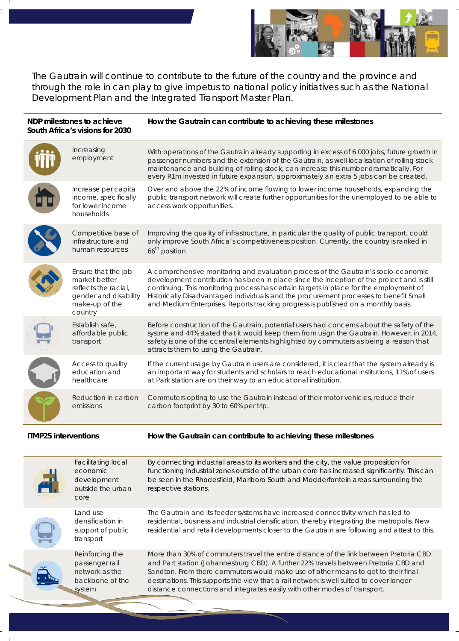

The Gautrain will continue to contribute to the future of the country and the province and through the role in can play to give impetus to national policy initiatives such as the National Development Plan and the Integrated Transport Master Plan.

| NDP milestones to achieve<br>South Africa's visions for 2030 |                                                                                                                    | How the Gautrain can contribute to achieving these milestones                                                                                                                                                                                                                                                                                                                                                                                             |  |  |
|--------------------------------------------------------------|--------------------------------------------------------------------------------------------------------------------|-----------------------------------------------------------------------------------------------------------------------------------------------------------------------------------------------------------------------------------------------------------------------------------------------------------------------------------------------------------------------------------------------------------------------------------------------------------|--|--|
|                                                              | Increasing<br>employment                                                                                           | With operations of the Gautrain already supporting in excess of 6000 jobs, future growth in<br>passenger numbers and the extension of the Gautrain, as well localisation of rolling stock<br>maintenance and building of rolling stock, can increase this number dramatically. For<br>every R1m invested in future expansion, approximately an extra 5 jobs can be created.                                                                               |  |  |
|                                                              | Increase per capita<br>income, specifically<br>for lower income<br>households                                      | Over and above the 22% of income flowing to lower income households, expanding the<br>public transport network will create further opportunities for the unemployed to be able to<br>access work opportunities.                                                                                                                                                                                                                                           |  |  |
|                                                              | Competitive base of<br>infrastructure and<br>human resources                                                       | Improving the quality of infrastructure, in particular the quality of public transport, could<br>only improve South Africa's competitiveness position. Currently, the country is ranked in<br>66 <sup>th</sup> position                                                                                                                                                                                                                                   |  |  |
|                                                              | Ensure that the job<br>market better<br>reflects the racial,<br>gender and disability<br>make-up of the<br>country | A comprehensive monitoring and evaluation process of the Gautrain's socio-economic<br>development contribution has been in place since the inception of the project and is still<br>continuing. This monitoring process has certain targets in place for the employment of<br>Historically Disadvantaged individuals and the procurement processes to benefit Small<br>and Medium Enterprises. Reports tracking progress is published on a monthly basis. |  |  |
|                                                              | Establish safe,<br>affordable public<br>transport                                                                  | Before construction of the Gautrain, potential users had concerns about the safety of the<br>systme and 44% stated that it would keep them from usign the Gautrain. However, in 2014,<br>safety is one of the ccentral elements highlighted by commuters as being a reason that<br>attracts them to using the Gautrain.                                                                                                                                   |  |  |
|                                                              | Access to quality<br>education and<br>healthcare                                                                   | If the current usage by Gautrain users are considered, it is clear that the system already is<br>an important way for students and scholars to reach educational institutions, 11% of users<br>at Park station are on their way to an educational institution.                                                                                                                                                                                            |  |  |
|                                                              | Reduction in carbon<br>emissions                                                                                   | Commuters opting to use the Gautrain instead of their motor vehicles, reduce their<br>carbon footprint by 30 to 60% per trip.                                                                                                                                                                                                                                                                                                                             |  |  |
| <b>ITMP25 interventions</b>                                  |                                                                                                                    | How the Gautrain can contribute to achieving these milestones                                                                                                                                                                                                                                                                                                                                                                                             |  |  |
|                                                              | <b>Facilitating local</b><br>economic<br>development<br>outside the urban<br>core                                  | By connecting industrial areas to its workers and the city, the value proposition for<br>functioning industrial zones outside of the urban core has increased significantly. This can<br>be seen in the Rhodesfield, Marlboro South and Modderfontein areas surrounding the<br>respective stations.                                                                                                                                                       |  |  |
|                                                              | Land use<br>densification in<br>support of public<br>transport                                                     | The Gautrain and its feeder systems have increased connectivity which has led to<br>residential, business and industrial densification, thereby integrating the metropolis. New<br>residential and retail developments closer to the Gautrain are following and attest to this.                                                                                                                                                                           |  |  |
|                                                              | Reinforcing the<br>passenger rail<br>network as the<br>backbone of the<br>system                                   | More than 30% of commuters travel the entire distance of the link between Pretoria CBD<br>and Part station (Johannesburg CBD). A further 22% travels between Pretoria CBD and<br>Sandton. From there commuters would make use of other means to get to their final<br>destinations. This supports the view that a rail network is well suited to cover longer<br>distance connections and integrates easily with other modes of transport.                |  |  |
|                                                              |                                                                                                                    |                                                                                                                                                                                                                                                                                                                                                                                                                                                           |  |  |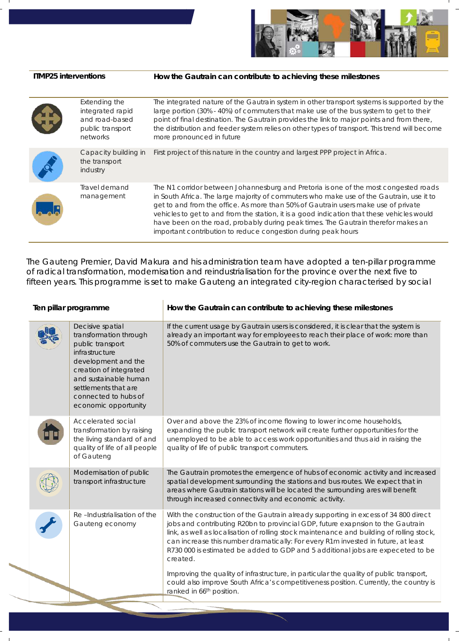

## **ITMP25 interventions How the Gautrain can contribute to achieving these milestones**

| GR | Extending the<br>integrated rapid<br>and road-based<br>public transport<br>networks | The integrated nature of the Gautrain system in other transport systems is supported by the<br>large portion (30% - 40%) of commuters that make use of the bus system to get to their<br>point of final destination. The Gautrain provides the link to major points and from there,<br>the distribution and feeder system relies on other types of transport. This trend will become<br>more pronounced in future                                                                                                          |
|----|-------------------------------------------------------------------------------------|----------------------------------------------------------------------------------------------------------------------------------------------------------------------------------------------------------------------------------------------------------------------------------------------------------------------------------------------------------------------------------------------------------------------------------------------------------------------------------------------------------------------------|
|    | Capacity building in<br>the transport<br>industry                                   | First project of this nature in the country and largest PPP project in Africa.                                                                                                                                                                                                                                                                                                                                                                                                                                             |
|    | Travel demand<br>management                                                         | The N1 corridor between Johannesburg and Pretoria is one of the most congested roads<br>in South Africa. The large majority of commuters who make use of the Gautrain, use it to<br>get to and from the office. As more than 50% of Gautrain users make use of private<br>vehicles to get to and from the station, it is a good indication that these vehicles would<br>have been on the road, probably during peak times. The Gautrain therefor makes an<br>important contribution to reduce congestion during peak hours |

The Gauteng Premier, David Makura and his administration team have adopted a ten-pillar programme of radical transformation, modernisation and reindustrialisation for the province over the next five to fifteen years. This programme is set to make Gauteng an integrated city-region characterised by social

| Ten pillar programme |                                                                                                                                                                                                                                    | How the Gautrain can contribute to achieving these milestones                                                                                                                                                                                                                                                                                                                                                                                           |  |
|----------------------|------------------------------------------------------------------------------------------------------------------------------------------------------------------------------------------------------------------------------------|---------------------------------------------------------------------------------------------------------------------------------------------------------------------------------------------------------------------------------------------------------------------------------------------------------------------------------------------------------------------------------------------------------------------------------------------------------|--|
|                      | Decisive spatial<br>transformation through<br>public transport<br>infrastructure<br>development and the<br>creation of integrated<br>and sustainable human<br>settlements that are<br>connected to hubs of<br>economic opportunity | If the current usage by Gautrain users is considered, it is clear that the system is<br>already an important way for employees to reach their place of work: more than<br>50% of commuters use the Gautrain to get to work.                                                                                                                                                                                                                             |  |
|                      | Accelerated social<br>transformation by raising<br>the living standard of and<br>quality of life of all people<br>of Gauteng                                                                                                       | Over and above the 23% of income flowing to lower income households,<br>expanding the public transport network will create further opportunities for the<br>unemployed to be able to access work opportunities and thus aid in raising the<br>quality of life of public transport commuters.                                                                                                                                                            |  |
|                      | Modernisation of public<br>transport infrastructure                                                                                                                                                                                | The Gautrain promotes the emergence of hubs of economic activity and increased<br>spatial development surrounding the stations and bus routes. We expect that in<br>areas where Gautrain stations will be located the surrounding ares will benefit<br>through increased connectivity and economic activity.                                                                                                                                            |  |
|                      | Re-Industrialisation of the<br>Gauteng economy                                                                                                                                                                                     | With the construction of the Gautrain already supporting in excess of 34 800 direct<br>jobs and contributing R20bn to provincial GDP, future exapnsion to the Gautrain<br>link, as well as localisation of rolling stock maintenance and building of rolling stock,<br>can increase this number dramatically: For every R1m invested in future, at least<br>R730 000 is estimated be added to GDP and 5 additional jobs are expeceted to be<br>created. |  |
|                      |                                                                                                                                                                                                                                    | Improving the quality of infrastructure, in particular the quality of public transport,<br>could also improve South Africa's competitiveness position. Currently, the country is<br>ranked in 66 <sup>th</sup> position.                                                                                                                                                                                                                                |  |